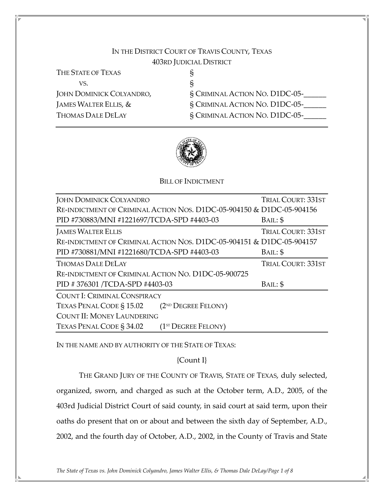# IN THE DISTRICT COURT OF TRAVIS COUNTY, TEXAS 403RD JUDICIAL DISTRICT

| THE STATE OF TEXAS              |                                       |
|---------------------------------|---------------------------------------|
| VS.                             |                                       |
| <b>JOHN DOMINICK COLYANDRO,</b> | <b>§ CRIMINAL ACTION NO. D1DC-05-</b> |
| JAMES WALTER ELLIS, &           | § CRIMINAL ACTION NO. D1DC-05-        |
| <b>THOMAS DALE DELAY</b>        | § CRIMINAL ACTION NO. D1DC-05-        |



#### BILL OF INDICTMENT

| <b>JOHN DOMINICK COLYANDRO</b>                                        | <b>TRIAL COURT: 331ST</b> |  |  |  |
|-----------------------------------------------------------------------|---------------------------|--|--|--|
| RE-INDICTMENT OF CRIMINAL ACTION NOS. D1DC-05-904150 & D1DC-05-904156 |                           |  |  |  |
| PID #730883/MNI #1221697/TCDA-SPD #4403-03                            | BAIL: \$                  |  |  |  |
| <b>JAMES WALTER ELLIS</b>                                             | <b>TRIAL COURT: 331ST</b> |  |  |  |
| RE-INDICTMENT OF CRIMINAL ACTION NOS. D1DC-05-904151 & D1DC-05-904157 |                           |  |  |  |
| PID #730881/MNI #1221680/TCDA-SPD #4403-03                            | BAIL: \$                  |  |  |  |
| THOMAS DALE DELAY                                                     | <b>TRIAL COURT: 331ST</b> |  |  |  |
| RE-INDICTMENT OF CRIMINAL ACTION NO. D1DC-05-900725                   |                           |  |  |  |
| PID #376301 /TCDA-SPD #4403-03                                        | BAIL: \$                  |  |  |  |
| COUNT I: CRIMINAL CONSPIRACY                                          |                           |  |  |  |
| TEXAS PENAL CODE § 15.02 (2 <sup>ND</sup> DEGREE FELONY)              |                           |  |  |  |
| <b>COUNT II: MONEY LAUNDERING</b>                                     |                           |  |  |  |
| TEXAS PENAL CODE § 34.02<br>(1 <sup>st</sup> DEGREE FELONY)           |                           |  |  |  |

IN THE NAME AND BY AUTHORITY OF THE STATE OF TEXAS:

# {Count I}

THE GRAND JURY OF THE COUNTY OF TRAVIS, STATE OF TEXAS, duly selected, organized, sworn, and charged as such at the October term, A.D., 2005, of the 403rd Judicial District Court of said county, in said court at said term, upon their oaths do present that on or about and between the sixth day of September, A.D., 2002, and the fourth day of October, A.D., 2002, in the County of Travis and State

The State of Texas vs. John Dominick Colyandro, James Walter Ellis, & Thomas Dale DeLay/Page 1 of 8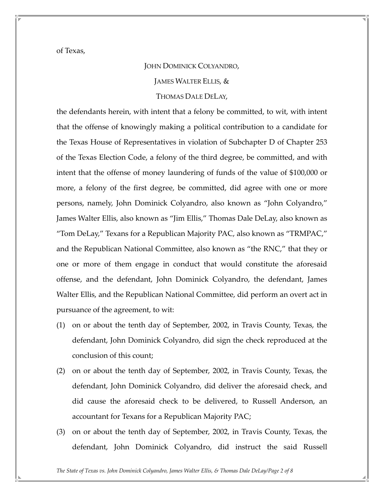of Texas,

#### JOHN DOMINICK COLYANDRO,

JAMES WALTER ELLIS, &

# THOMAS DALE DELAY,

the defendants herein, with intent that a felony be committed, to wit, with intent that the offense of knowingly making a political contribution to a candidate for the Texas House of Representatives in violation of Subchapter D of Chapter 253 of the Texas Election Code, a felony of the third degree, be committed, and with intent that the offense of money laundering of funds of the value of \$100,000 or more, a felony of the first degree, be committed, did agree with one or more persons, namely, John Dominick Colyandro, also known as "John Colyandro," James Walter Ellis, also known as "Jim Ellis," Thomas Dale DeLay, also known as "Tom DeLay," Texans for a Republican Majority PAC, also known as "TRMPAC," and the Republican National Committee, also known as "the RNC," that they or one or more of them engage in conduct that would constitute the aforesaid offense, and the defendant, John Dominick Colyandro, the defendant, James Walter Ellis, and the Republican National Committee, did perform an overt act in pursuance of the agreement, to wit:

- (1) on or about the tenth day of September, 2002, in Travis County, Texas, the defendant, John Dominick Colyandro, did sign the check reproduced at the conclusion of this count;
- (2) on or about the tenth day of September, 2002, in Travis County, Texas, the defendant, John Dominick Colyandro, did deliver the aforesaid check, and did cause the aforesaid check to be delivered, to Russell Anderson, an accountant for Texans for a Republican Majority PAC;
- (3) on or about the tenth day of September, 2002, in Travis County, Texas, the defendant, John Dominick Colyandro, did instruct the said Russell

The State of Texas vs. John Dominick Colyandro, James Walter Ellis, & Thomas Dale DeLay/Page 2 of 8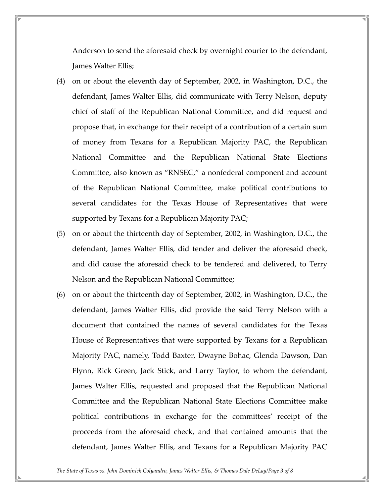Anderson to send the aforesaid check by overnight courier to the defendant, James Walter Ellis;

- (4) on or about the eleventh day of September, 2002, in Washington, D.C., the defendant, James Walter Ellis, did communicate with Terry Nelson, deputy chief of staff of the Republican National Committee, and did request and propose that, in exchange for their receipt of a contribution of a certain sum of money from Texans for a Republican Majority PAC, the Republican National Committee and the Republican National State Elections Committee, also known as "RNSEC," a nonfederal component and account of the Republican National Committee, make political contributions to several candidates for the Texas House of Representatives that were supported by Texans for a Republican Majority PAC;
- (5) on or about the thirteenth day of September, 2002, in Washington, D.C., the defendant, James Walter Ellis, did tender and deliver the aforesaid check, and did cause the aforesaid check to be tendered and delivered, to Terry Nelson and the Republican National Committee;
- (6) on or about the thirteenth day of September, 2002, in Washington, D.C., the defendant, James Walter Ellis, did provide the said Terry Nelson with a document that contained the names of several candidates for the Texas House of Representatives that were supported by Texans for a Republican Majority PAC, namely, Todd Baxter, Dwayne Bohac, Glenda Dawson, Dan Flynn, Rick Green, Jack Stick, and Larry Taylor, to whom the defendant, James Walter Ellis, requested and proposed that the Republican National Committee and the Republican National State Elections Committee make political contributions in exchange for the committees' receipt of the proceeds from the aforesaid check, and that contained amounts that the defendant, James Walter Ellis, and Texans for a Republican Majority PAC

The State of Texas vs. John Dominick Colyandro, James Walter Ellis, & Thomas Dale DeLay/Page 3 of 8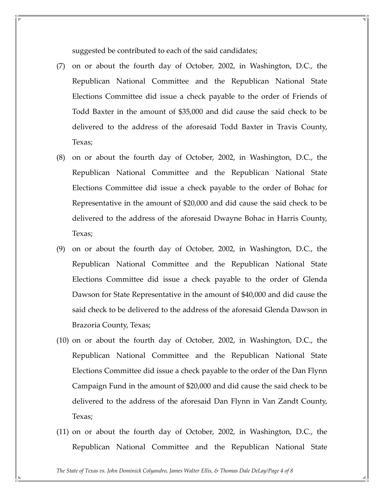suggested be contributed to each of the said candidates;

- (7) on or about the fourth day of October, 2002, in Washington, D.C., the Republican National Committee and the Republican National State Elections Committee did issue a check payable to the order of Friends of Todd Baxter in the amount of \$35,000 and did cause the said check to be delivered to the address of the aforesaid Todd Baxter in Travis County, Texas;
- (8) on or about the fourth day of October, 2002, in Washington, D.C., the Republican National Committee and the Republican National State Elections Committee did issue a check payable to the order of Bohac for Representative in the amount of \$20,000 and did cause the said check to be delivered to the address of the aforesaid Dwayne Bohac in Harris County, Texas;
- (9) on or about the fourth day of October, 2002, in Washington, D.C., the Republican National Committee and the Republican National State Elections Committee did issue a check payable to the order of Glenda Dawson for State Representative in the amount of \$40,000 and did cause the said check to be delivered to the address of the aforesaid Glenda Dawson in Brazoria County, Texas;
- (10) on or about the fourth day of October, 2002, in Washington, D.C., the Republican National Committee and the Republican National State Elections Committee did issue a check payable to the order of the Dan Flynn Campaign Fund in the amount of \$20,000 and did cause the said check to be delivered to the address of the aforesaid Dan Flynn in Van Zandt County, Texas;
- (11) on or about the fourth day of October, 2002, in Washington, D.C., the Republican National Committee and the Republican National State

The State of Texas vs. John Dominick Colyandro, James Walter Ellis, & Thomas Dale DeLay/Page 4 of 8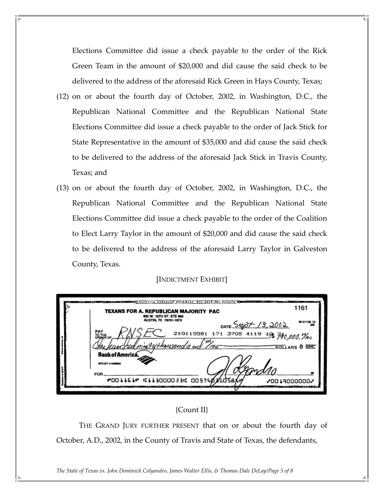Elections Committee did issue a check payable to the order of the Rick Green Team in the amount of \$20,000 and did cause the said check to be delivered to the address of the aforesaid Rick Green in Hays County, Texas;

- (12) on or about the fourth day of October, 2002, in Washington, D.C., the Republican National Committee and the Republican National State Elections Committee did issue a check payable to the order of Jack Stick for State Representative in the amount of \$35,000 and did cause the said check to be delivered to the address of the aforesaid Jack Stick in Travis County, Texas; and
- (13) on or about the fourth day of October, 2002, in Washington, D.C., the Republican National Committee and the Republican National State Elections Committee did issue a check payable to the order of the Coalition to Elect Larry Taylor in the amount of \$20,000 and did cause the said check to be delivered to the address of the aforesaid Larry Taylor in Galveston County, Texas.

[INDICTMENT EXHIBIT]

|  | stand Security exhausted decourse. See back for details 180<br>TEXANS FOR A. REPUBLICAN MAJORITY PAC | 1161          |
|--|------------------------------------------------------------------------------------------------------|---------------|
|  | 400 W. 15TH ST. STE 600<br>AUSTIN, TX 78701-1673<br>DATE SEOT 13, 2002                               | 35-2/1130 T)  |
|  | 210115581 171 3705 4119 18 740,000. 1%<br><b>PAY</b><br>TO THE OF                                    |               |
|  | chid nive tythousand and Troo<br>Bank of America.                                                    | DOLLARS & EXT |
|  | ACH BT 111000025                                                                                     |               |
|  | FOR.<br>"001161" :113000023: 005740360586                                                            | ,0019000000   |
|  |                                                                                                      |               |

## {Count II}

THE GRAND JURY FURTHER PRESENT that on or about the fourth day of October, A.D., 2002, in the County of Travis and State of Texas, the defendants,

The State of Texas vs. John Dominick Colyandro, James Walter Ellis, & Thomas Dale DeLay/Page 5 of 8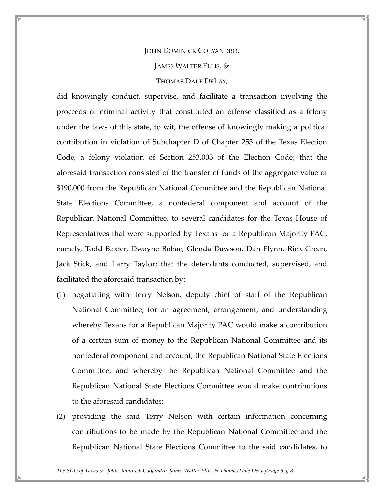# JOHN DOMINICK COLYANDRO, JAMES WALTER ELLIS, & THOMAS DALE DELAY,

did knowingly conduct, supervise, and facilitate a transaction involving the proceeds of criminal activity that constituted an offense classified as a felony under the laws of this state, to wit, the offense of knowingly making a political contribution in violation of Subchapter D of Chapter 253 of the Texas Election Code, a felony violation of Section 253.003 of the Election Code; that the aforesaid transaction consisted of the transfer of funds of the aggregate value of \$190,000 from the Republican National Committee and the Republican National State Elections Committee, a nonfederal component and account of the Republican National Committee, to several candidates for the Texas House of Representatives that were supported by Texans for a Republican Majority PAC, namely, Todd Baxter, Dwayne Bohac, Glenda Dawson, Dan Flynn, Rick Green, Jack Stick, and Larry Taylor; that the defendants conducted, supervised, and facilitated the aforesaid transaction by:

- (1) negotiating with Terry Nelson, deputy chief of staff of the Republican National Committee, for an agreement, arrangement, and understanding whereby Texans for a Republican Majority PAC would make a contribution of a certain sum of money to the Republican National Committee and its nonfederal component and account, the Republican National State Elections Committee, and whereby the Republican National Committee and the Republican National State Elections Committee would make contributions to the aforesaid candidates;
- (2) providing the said Terry Nelson with certain information concerning contributions to be made by the Republican National Committee and the Republican National State Elections Committee to the said candidates, to

The State of Texas vs. John Dominick Colyandro, James Walter Ellis, & Thomas Dale DeLay/Page 6 of 8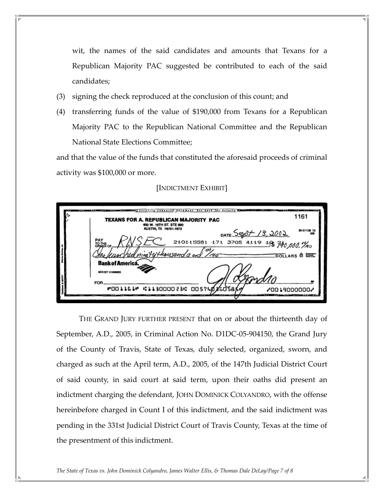wit, the names of the said candidates and amounts that Texans for a Republican Majority PAC suggested be contributed to each of the said candidates;

- (3) signing the check reproduced at the conclusion of this count; and
- (4) transferring funds of the value of \$190,000 from Texans for a Republican Majority PAC to the Republican National Committee and the Republican National State Elections Committee;

and that the value of the funds that constituted the aforesaid proceeds of criminal activity was \$100,000 or more.

## [INDICTMENT EXHIBIT]



THE GRAND JURY FURTHER PRESENT that on or about the thirteenth day of September, A.D., 2005, in Criminal Action No. D1DC-05-904150, the Grand Jury of the County of Travis, State of Texas, duly selected, organized, sworn, and charged as such at the April term, A.D., 2005, of the 147th Judicial District Court of said county, in said court at said term, upon their oaths did present an indictment charging the defendant, JOHN DOMINICK COLYANDRO, with the offense hereinbefore charged in Count I of this indictment, and the said indictment was pending in the 331st Judicial District Court of Travis County, Texas at the time of the presentment of this indictment.

The State of Texas vs. John Dominick Colyandro, James Walter Ellis, & Thomas Dale DeLay/Page 7 of 8